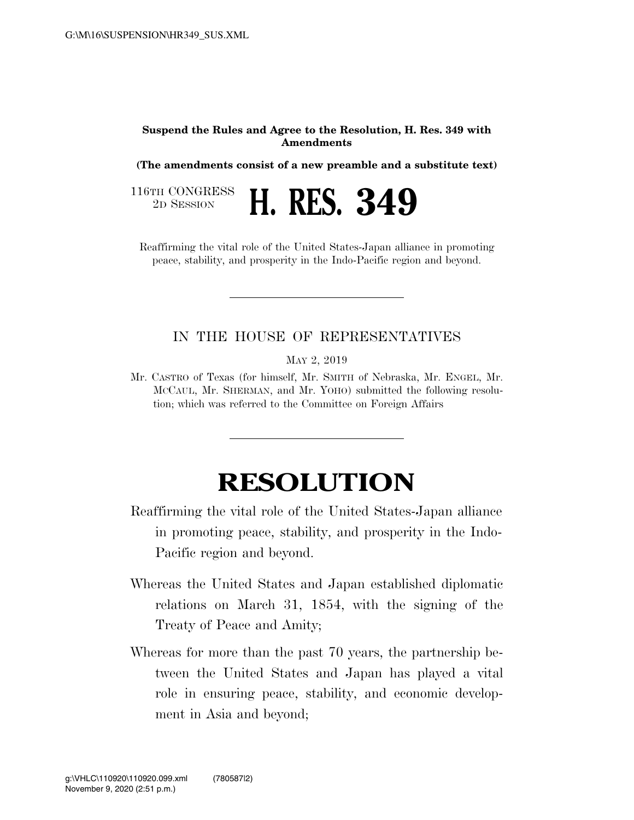## **Suspend the Rules and Agree to the Resolution, H. Res. 349 with Amendments**

**(The amendments consist of a new preamble and a substitute text)** 

2D SESSION **H. RES. 349** 

116TH CONGRESS<br>2D SESSION

Reaffirming the vital role of the United States-Japan alliance in promoting peace, stability, and prosperity in the Indo-Pacific region and beyond.

## IN THE HOUSE OF REPRESENTATIVES

MAY 2, 2019

Mr. CASTRO of Texas (for himself, Mr. SMITH of Nebraska, Mr. ENGEL, Mr. MCCAUL, Mr. SHERMAN, and Mr. YOHO) submitted the following resolution; which was referred to the Committee on Foreign Affairs

## **RESOLUTION**

Reaffirming the vital role of the United States-Japan alliance in promoting peace, stability, and prosperity in the Indo-Pacific region and beyond.

- Whereas the United States and Japan established diplomatic relations on March 31, 1854, with the signing of the Treaty of Peace and Amity;
- Whereas for more than the past 70 years, the partnership between the United States and Japan has played a vital role in ensuring peace, stability, and economic development in Asia and beyond;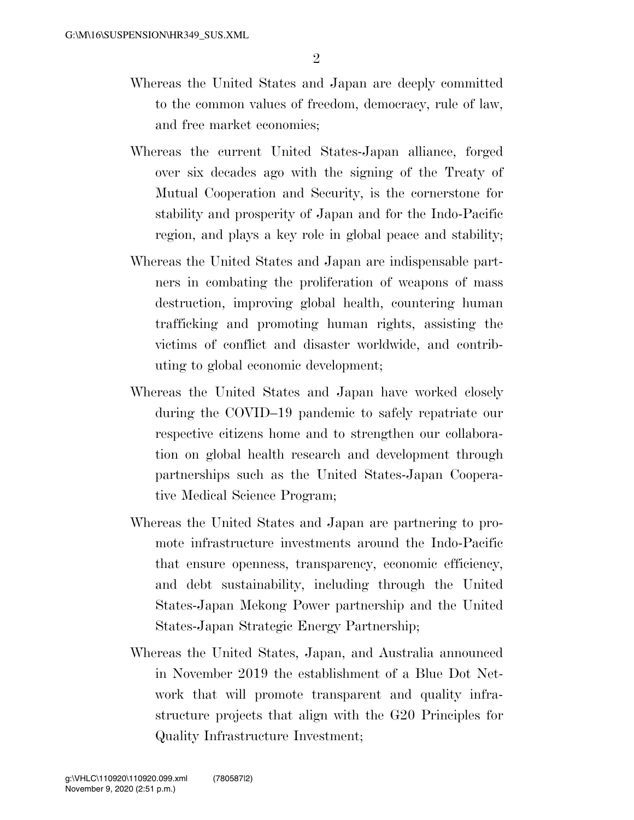- Whereas the United States and Japan are deeply committed to the common values of freedom, democracy, rule of law, and free market economies;
- Whereas the current United States-Japan alliance, forged over six decades ago with the signing of the Treaty of Mutual Cooperation and Security, is the cornerstone for stability and prosperity of Japan and for the Indo-Pacific region, and plays a key role in global peace and stability;
- Whereas the United States and Japan are indispensable partners in combating the proliferation of weapons of mass destruction, improving global health, countering human trafficking and promoting human rights, assisting the victims of conflict and disaster worldwide, and contributing to global economic development;
- Whereas the United States and Japan have worked closely during the COVID–19 pandemic to safely repatriate our respective citizens home and to strengthen our collaboration on global health research and development through partnerships such as the United States-Japan Cooperative Medical Science Program;
- Whereas the United States and Japan are partnering to promote infrastructure investments around the Indo-Pacific that ensure openness, transparency, economic efficiency, and debt sustainability, including through the United States-Japan Mekong Power partnership and the United States-Japan Strategic Energy Partnership;
- Whereas the United States, Japan, and Australia announced in November 2019 the establishment of a Blue Dot Network that will promote transparent and quality infrastructure projects that align with the G20 Principles for Quality Infrastructure Investment;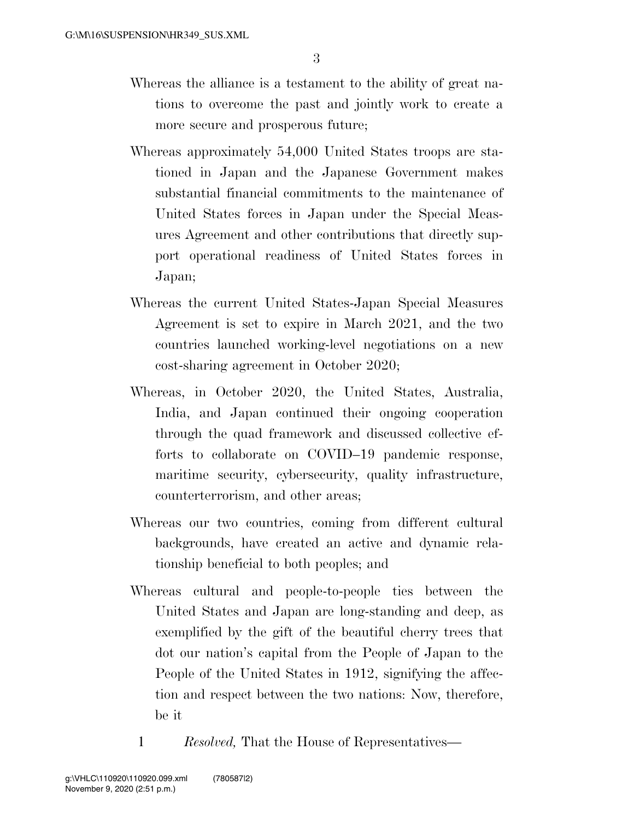- Whereas the alliance is a testament to the ability of great nations to overcome the past and jointly work to create a more secure and prosperous future;
- Whereas approximately 54,000 United States troops are stationed in Japan and the Japanese Government makes substantial financial commitments to the maintenance of United States forces in Japan under the Special Measures Agreement and other contributions that directly support operational readiness of United States forces in Japan;
- Whereas the current United States-Japan Special Measures Agreement is set to expire in March 2021, and the two countries launched working-level negotiations on a new cost-sharing agreement in October 2020;
- Whereas, in October 2020, the United States, Australia, India, and Japan continued their ongoing cooperation through the quad framework and discussed collective efforts to collaborate on COVID–19 pandemic response, maritime security, cybersecurity, quality infrastructure, counterterrorism, and other areas;
- Whereas our two countries, coming from different cultural backgrounds, have created an active and dynamic relationship beneficial to both peoples; and
- Whereas cultural and people-to-people ties between the United States and Japan are long-standing and deep, as exemplified by the gift of the beautiful cherry trees that dot our nation's capital from the People of Japan to the People of the United States in 1912, signifying the affection and respect between the two nations: Now, therefore, be it
	- 1 *Resolved,* That the House of Representatives—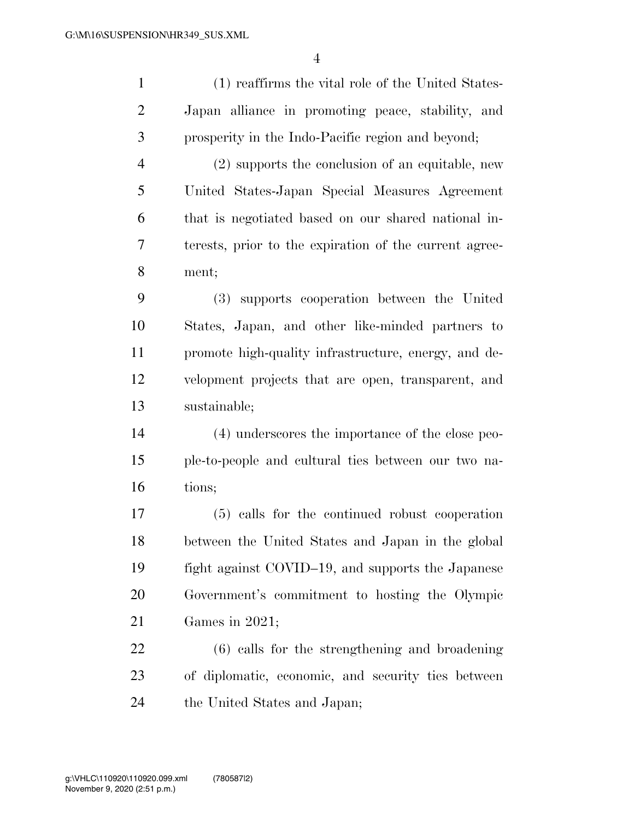(1) reaffirms the vital role of the United States- Japan alliance in promoting peace, stability, and prosperity in the Indo-Pacific region and beyond; (2) supports the conclusion of an equitable, new United States-Japan Special Measures Agreement that is negotiated based on our shared national in- terests, prior to the expiration of the current agree- ment; (3) supports cooperation between the United States, Japan, and other like-minded partners to promote high-quality infrastructure, energy, and de- velopment projects that are open, transparent, and sustainable; (4) underscores the importance of the close peo- ple-to-people and cultural ties between our two na- tions; (5) calls for the continued robust cooperation

 between the United States and Japan in the global fight against COVID–19, and supports the Japanese Government's commitment to hosting the Olympic Games in 2021;

 (6) calls for the strengthening and broadening of diplomatic, economic, and security ties between the United States and Japan;